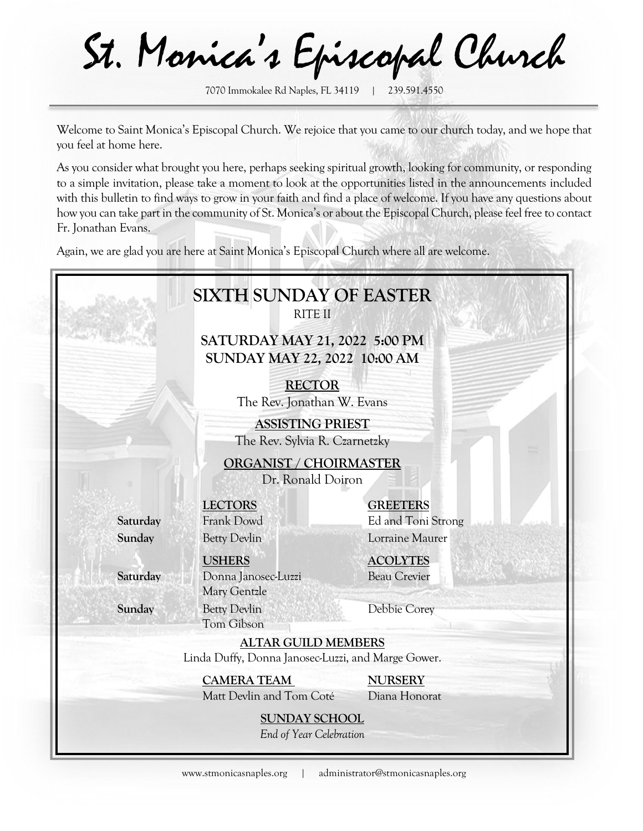St. Monica's Episcopal Church

7070 Immokalee Rd Naples, FL 34119 | 239.591.4550

Welcome to Saint Monica's Episcopal Church. We rejoice that you came to our church today, and we hope that you feel at home here.

As you consider what brought you here, perhaps seeking spiritual growth, looking for community, or responding to a simple invitation, please take a moment to look at the opportunities listed in the announcements included with this bulletin to find ways to grow in your faith and find a place of welcome. If you have any questions about how you can take part in the community of St. Monica's or about the Episcopal Church, please feel free to contact Fr. Jonathan Evans.

Again, we are glad you are here at Saint Monica's Episcopal Church where all are welcome.

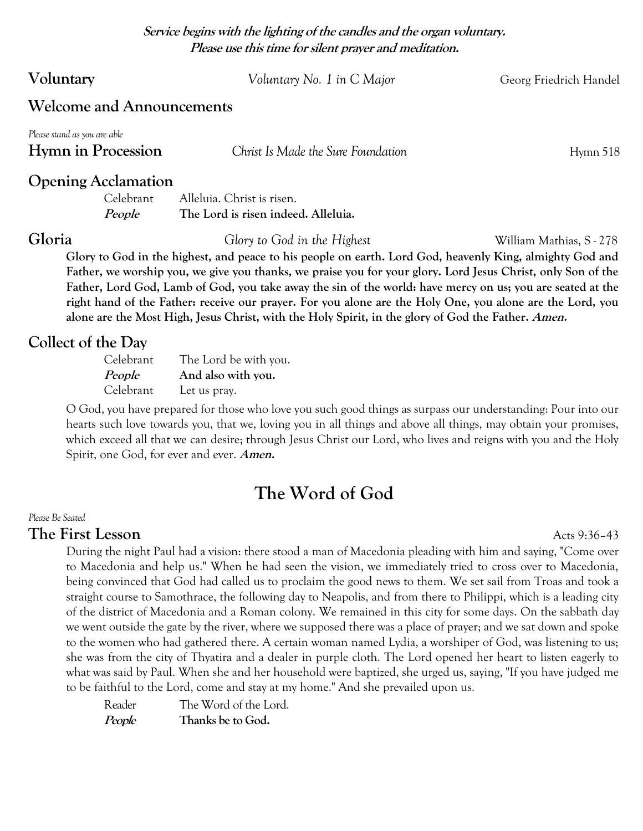**Service begins with the lighting of the candles and the organ voluntary. Please use this time for silent prayer and meditation.**

| Voluntary                                          | Voluntary No. 1 in C Major         | Georg Friedrich Handel |
|----------------------------------------------------|------------------------------------|------------------------|
| <b>Welcome and Announcements</b>                   |                                    |                        |
| Please stand as you are able<br>Hymn in Procession | Christ Is Made the Sure Foundation | Hymn 518               |
| <b>Opening Acclamation</b>                         |                                    |                        |

Celebrant Alleluia. Christ is risen. **People The Lord is risen indeed. Alleluia.**

**Gloria** Glory to God in the Highest William Mathias, S - 278 **Glory to God in the highest, and peace to his people on earth. Lord God, heavenly King, almighty God and Father, we worship you, we give you thanks, we praise you for your glory. Lord Jesus Christ, only Son of the Father, Lord God, Lamb of God, you take away the sin of the world: have mercy on us; you are seated at the right hand of the Father: receive our prayer. For you alone are the Holy One, you alone are the Lord, you alone are the Most High, Jesus Christ, with the Holy Spirit, in the glory of God the Father. Amen.**

## **Collect of the Day**

| Celebrant     | The Lord be with you. |
|---------------|-----------------------|
| <i>People</i> | And also with you.    |
| Celebrant     | Let us pray.          |

O God, you have prepared for those who love you such good things as surpass our understanding: Pour into our hearts such love towards you, that we, loving you in all things and above all things, may obtain your promises, which exceed all that we can desire; through Jesus Christ our Lord, who lives and reigns with you and the Holy Spirit, one God, for ever and ever. **Amen.**

# **The Word of God**

#### *Please Be Seated*

## **The First Lesson** Acts 9:36-43

During the night Paul had a vision: there stood a man of Macedonia pleading with him and saying, "Come over to Macedonia and help us." When he had seen the vision, we immediately tried to cross over to Macedonia, being convinced that God had called us to proclaim the good news to them. We set sail from Troas and took a straight course to Samothrace, the following day to Neapolis, and from there to Philippi, which is a leading city of the district of Macedonia and a Roman colony. We remained in this city for some days. On the sabbath day we went outside the gate by the river, where we supposed there was a place of prayer; and we sat down and spoke to the women who had gathered there. A certain woman named Lydia, a worshiper of God, was listening to us; she was from the city of Thyatira and a dealer in purple cloth. The Lord opened her heart to listen eagerly to what was said by Paul. When she and her household were baptized, she urged us, saying, "If you have judged me to be faithful to the Lord, come and stay at my home." And she prevailed upon us.

Reader The Word of the Lord. **People Thanks be to God.**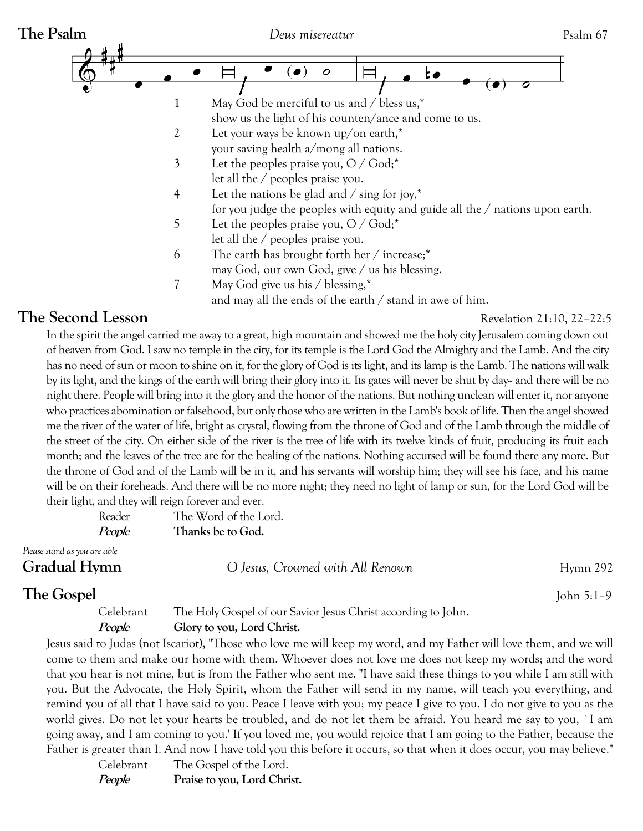

## **The Second Lesson Revelation 21:10, 22–22:5**

In the spirit the angel carried me away to a great, high mountain and showed me the holy city Jerusalem coming down out of heaven from God. I saw no temple in the city, for its temple is the Lord God the Almighty and the Lamb. And the city has no need of sun or moon to shine on it, for the glory of God is its light, and its lamp is the Lamb. The nations will walk by its light, and the kings of the earth will bring their glory into it. Its gates will never be shut by day-- and there will be no night there. People will bring into it the glory and the honor of the nations. But nothing unclean will enter it, nor anyone who practices abomination or falsehood, but only those who are written in the Lamb's book of life. Then the angel showed me the river of the water of life, bright as crystal, flowing from the throne of God and of the Lamb through the middle of the street of the city. On either side of the river is the tree of life with its twelve kinds of fruit, producing its fruit each month; and the leaves of the tree are for the healing of the nations. Nothing accursed will be found there any more. But the throne of God and of the Lamb will be in it, and his servants will worship him; they will see his face, and his name will be on their foreheads. And there will be no more night; they need no light of lamp or sun, for the Lord God will be their light, and they will reign forever and ever.

| Reader | The Word of the Lord. |
|--------|-----------------------|
| People | Thanks be to God.     |

*Please stand as you are able*

**Gradual Hymn** O Jesus, Crowned with All Renown Hymn 292

**The Gospel** John 5:1–9

Celebrant The Holy Gospel of our Savior Jesus Christ according to John. **People Glory to you, Lord Christ.** 

Jesus said to Judas (not Iscariot), "Those who love me will keep my word, and my Father will love them, and we will come to them and make our home with them. Whoever does not love me does not keep my words; and the word that you hear is not mine, but is from the Father who sent me. "I have said these things to you while I am still with you. But the Advocate, the Holy Spirit, whom the Father will send in my name, will teach you everything, and remind you of all that I have said to you. Peace I leave with you; my peace I give to you. I do not give to you as the world gives. Do not let your hearts be troubled, and do not let them be afraid. You heard me say to you, `I am going away, and I am coming to you.' If you loved me, you would rejoice that I am going to the Father, because the Father is greater than I. And now I have told you this before it occurs, so that when it does occur, you may believe."

| Celebrant | The Gospel of the Lord.     |
|-----------|-----------------------------|
| People    | Praise to you, Lord Christ. |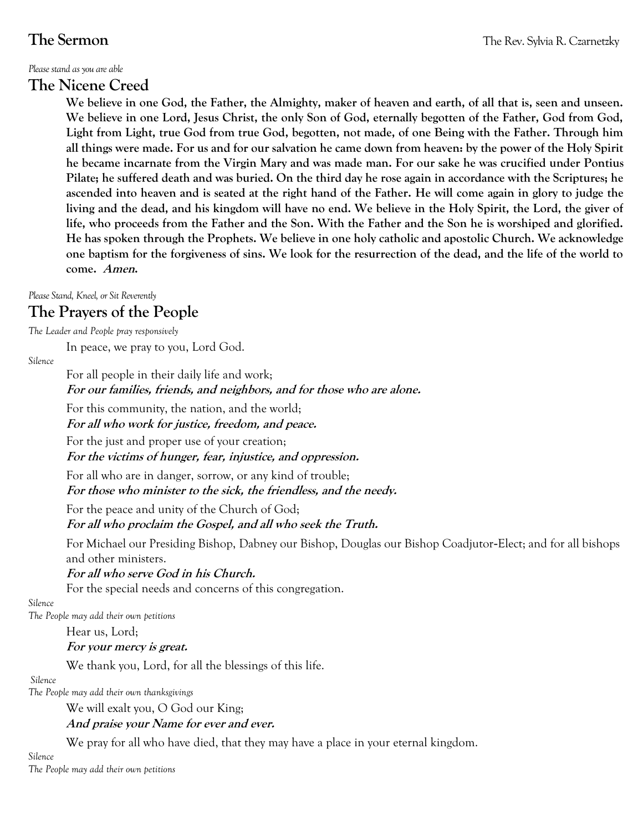### *Please stand as you are able*

## **The Nicene Creed**

**We believe in one God, the Father, the Almighty, maker of heaven and earth, of all that is, seen and unseen. We believe in one Lord, Jesus Christ, the only Son of God, eternally begotten of the Father, God from God, Light from Light, true God from true God, begotten, not made, of one Being with the Father. Through him all things were made. For us and for our salvation he came down from heaven: by the power of the Holy Spirit he became incarnate from the Virgin Mary and was made man. For our sake he was crucified under Pontius Pilate; he suffered death and was buried. On the third day he rose again in accordance with the Scriptures; he ascended into heaven and is seated at the right hand of the Father. He will come again in glory to judge the living and the dead, and his kingdom will have no end. We believe in the Holy Spirit, the Lord, the giver of life, who proceeds from the Father and the Son. With the Father and the Son he is worshiped and glorified. He has spoken through the Prophets. We believe in one holy catholic and apostolic Church. We acknowledge one baptism for the forgiveness of sins. We look for the resurrection of the dead, and the life of the world to come. Amen.**

*Please Stand, Kneel,or Sit Reverently*

## **The Prayers of the People**

*The Leader and People pray responsively*

In peace, we pray to you, Lord God.

*Silence*

For all people in their daily life and work; **For our families, friends, and neighbors, and for those who are alone.**

For this community, the nation, and the world;

**For all who work for justice, freedom, and peace.**

For the just and proper use of your creation;

**For the victims of hunger, fear, injustice, and oppression.**

For all who are in danger, sorrow, or any kind of trouble; **For those who minister to the sick, the friendless, and the needy.**

For the peace and unity of the Church of God;

### **For all who proclaim the Gospel, and all who seek the Truth.**

For Michael our Presiding Bishop, Dabney our Bishop, Douglas our Bishop Coadjutor-Elect; and for all bishops and other ministers.

### **For all who serve God in his Church.**

For the special needs and concerns of this congregation.

#### *Silence*

*The People may add their own petitions*

Hear us, Lord;

**For your mercy is great.**

We thank you, Lord, for all the blessings of this life.

*Silence*

*The People may add their own thanksgivings*

We will exalt you, O God our King;

**And praise your Name for ever and ever.**

We pray for all who have died, that they may have a place in your eternal kingdom.

*Silence*

*The People may add their own petitions*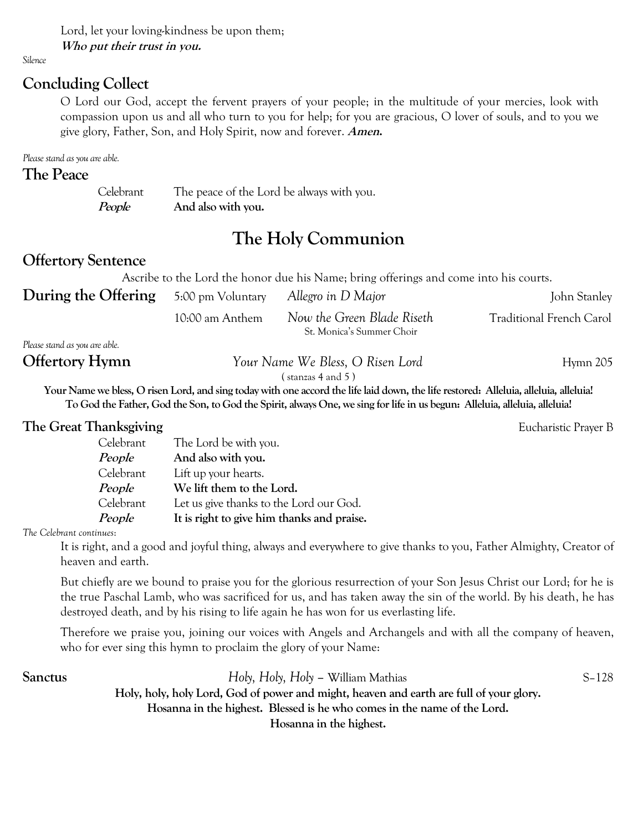Lord, let your loving-kindness be upon them; **Who put their trust in you.**

*Silence*

## **Concluding Collect**

O Lord our God, accept the fervent prayers of your people; in the multitude of your mercies, look with compassion upon us and all who turn to you for help; for you are gracious, O lover of souls, and to you we give glory, Father, Son, and Holy Spirit, now and forever. **Amen.**

*Please stand as you are able.*

#### **The Peace**

| Celebrant | The peace of the Lord be always with you. |
|-----------|-------------------------------------------|
| People    | And also with you.                        |

# **The Holy Communion**

## **Offertory Sentence**

Ascribe to the Lord the honor due his Name; bring offerings and come into his courts.

| <b>During the Offering</b> 5:00 pm Voluntary Allegro in D Major |                            | John Stanley                    |  |
|-----------------------------------------------------------------|----------------------------|---------------------------------|--|
| 10:00 am Anthem                                                 | Now the Green Blade Riseth | <b>Traditional French Carol</b> |  |
|                                                                 | St. Monica's Summer Choir  |                                 |  |

*Please stand as you are able.*

### **Offertory Hymn** *Your Name We Bless, O Risen Lord* Hymn 205

( stanzas 4 and 5 )

**Your Name we bless, O risen Lord, and sing today with one accord the life laid down, the life restored: Alleluia, alleluia, alleluia! To God the Father, God the Son, to God the Spirit, always One, we sing for life in us begun: Alleluia, alleluia, alleluia!**

## **The Great Thanksgiving** Eucharistic Prayer B

Celebrant The Lord be with you. **People And also with you.** Celebrant Lift up your hearts. **People We lift them to the Lord.** Celebrant Let us give thanks to the Lord our God. **People It is right to give him thanks and praise.**

#### *The Celebrant continues*:

It is right, and a good and joyful thing, always and everywhere to give thanks to you, Father Almighty, Creator of heaven and earth.

But chiefly are we bound to praise you for the glorious resurrection of your Son Jesus Christ our Lord; for he is the true Paschal Lamb, who was sacrificed for us, and has taken away the sin of the world. By his death, he has destroyed death, and by his rising to life again he has won for us everlasting life.

Therefore we praise you, joining our voices with Angels and Archangels and with all the company of heaven, who for ever sing this hymn to proclaim the glory of your Name:

| Sanctus | Holy, Holy, Holy – William Mathias                                                      | $S-128$ |
|---------|-----------------------------------------------------------------------------------------|---------|
|         | Holy, holy, holy Lord, God of power and might, heaven and earth are full of your glory. |         |
|         | Hosanna in the highest. Blessed is he who comes in the name of the Lord.                |         |
|         | Hosanna in the highest.                                                                 |         |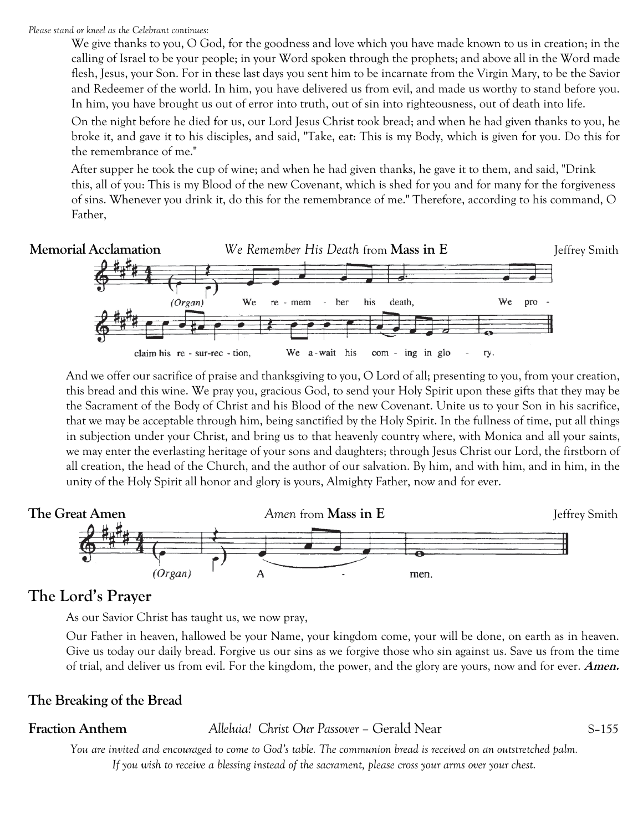*Please stand or kneel as the Celebrant continues:*

We give thanks to you, O God, for the goodness and love which you have made known to us in creation; in the calling of Israel to be your people; in your Word spoken through the prophets; and above all in the Word made flesh, Jesus, your Son. For in these last days you sent him to be incarnate from the Virgin Mary, to be the Savior and Redeemer of the world. In him, you have delivered us from evil, and made us worthy to stand before you. In him, you have brought us out of error into truth, out of sin into righteousness, out of death into life.

On the night before he died for us, our Lord Jesus Christ took bread; and when he had given thanks to you, he broke it, and gave it to his disciples, and said, "Take, eat: This is my Body, which is given for you. Do this for the remembrance of me."

After supper he took the cup of wine; and when he had given thanks, he gave it to them, and said, "Drink this, all of you: This is my Blood of the new Covenant, which is shed for you and for many for the forgiveness of sins. Whenever you drink it, do this for the remembrance of me." Therefore, according to his command, O Father,



And we offer our sacrifice of praise and thanksgiving to you, O Lord of all; presenting to you, from your creation, this bread and this wine. We pray you, gracious God, to send your Holy Spirit upon these gifts that they may be the Sacrament of the Body of Christ and his Blood of the new Covenant. Unite us to your Son in his sacrifice, that we may be acceptable through him, being sanctified by the Holy Spirit. In the fullness of time, put all things in subjection under your Christ, and bring us to that heavenly country where, with Monica and all your saints, we may enter the everlasting heritage of your sons and daughters; through Jesus Christ our Lord, the firstborn of all creation, the head of the Church, and the author of our salvation. By him, and with him, and in him, in the unity of the Holy Spirit all honor and glory is yours, Almighty Father, now and for ever.



## **The Lord's Prayer**

As our Savior Christ has taught us, we now pray,

Our Father in heaven, hallowed be your Name, your kingdom come, your will be done, on earth as in heaven. Give us today our daily bread. Forgive us our sins as we forgive those who sin against us. Save us from the time of trial, and deliver us from evil. For the kingdom, the power, and the glory are yours, now and for ever. **Amen.**

## **The Breaking of the Bread**

### **Fraction Anthem** *Alleluia! Christ Our Passover* – Gerald Near S–155

*You are invited and encouraged to come to God's table. The communion bread is received on an outstretched palm. If you wish to receive a blessing instead of the sacrament, please cross your arms over your chest.*